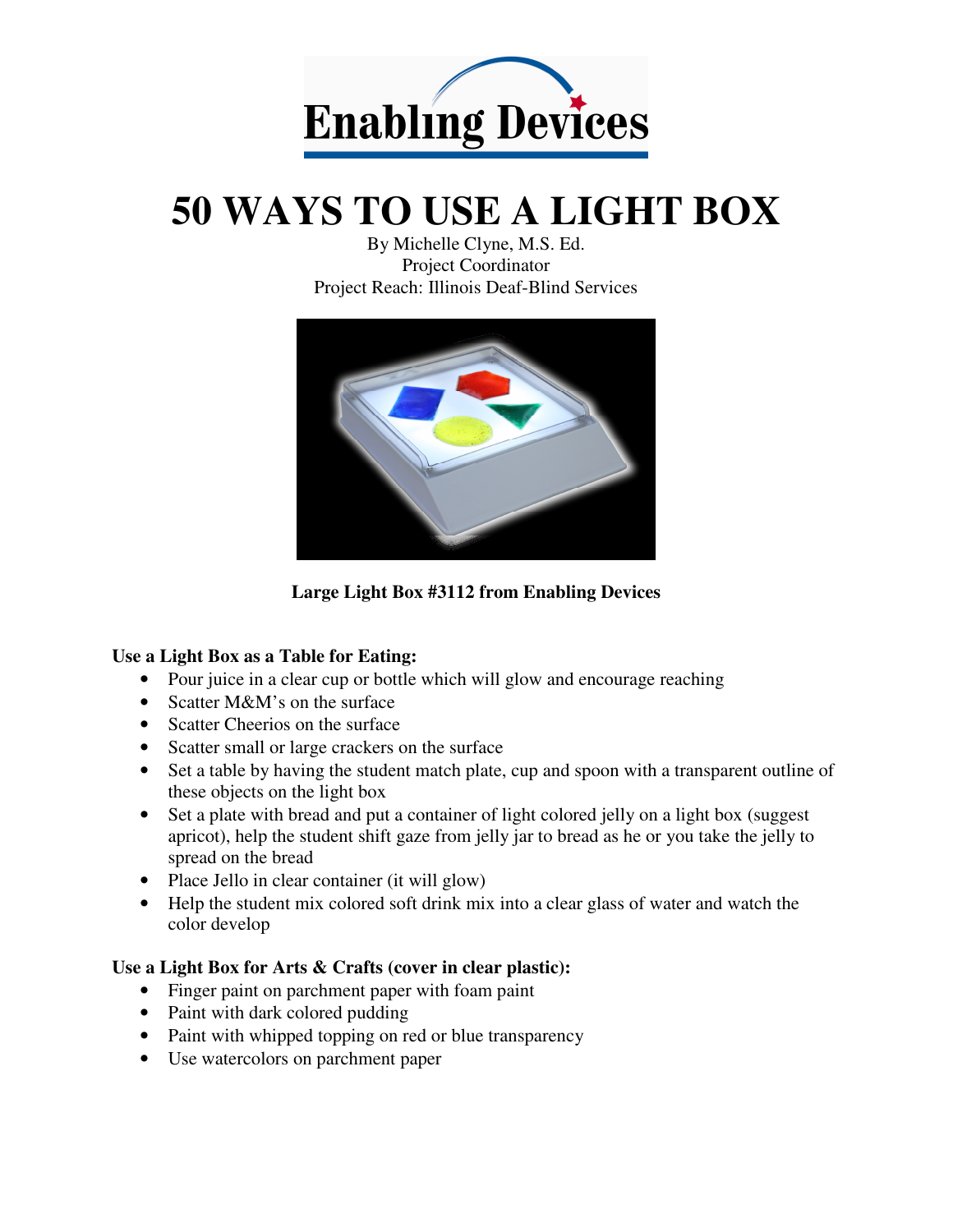

# **50 WAYS TO USE A LIGHT BOX**

By Michelle Clyne, M.S. Ed. Project Coordinator Project Reach: Illinois Deaf-Blind Services



**Large Light Box #3112 from Enabling Devices** 

#### **Use a Light Box as a Table for Eating:**

- Pour juice in a clear cup or bottle which will glow and encourage reaching
- Scatter M&M's on the surface
- Scatter Cheerios on the surface
- Scatter small or large crackers on the surface
- Set a table by having the student match plate, cup and spoon with a transparent outline of these objects on the light box
- Set a plate with bread and put a container of light colored jelly on a light box (suggest) apricot), help the student shift gaze from jelly jar to bread as he or you take the jelly to spread on the bread
- Place Jello in clear container (it will glow)
- Help the student mix colored soft drink mix into a clear glass of water and watch the color develop

#### **Use a Light Box for Arts & Crafts (cover in clear plastic):**

- Finger paint on parchment paper with foam paint
- Paint with dark colored pudding
- Paint with whipped topping on red or blue transparency
- Use watercolors on parchment paper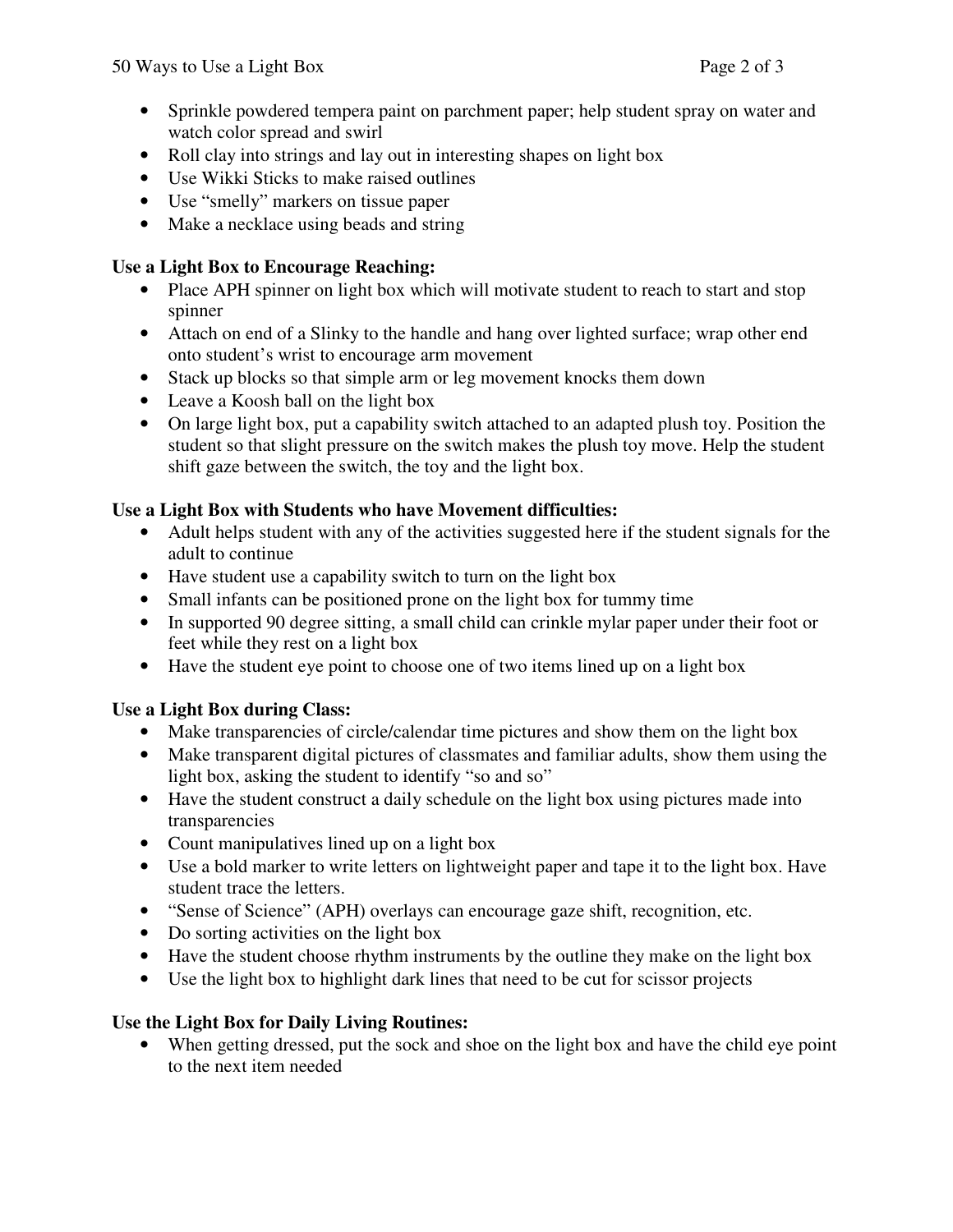- Sprinkle powdered tempera paint on parchment paper; help student spray on water and watch color spread and swirl
- Roll clay into strings and lay out in interesting shapes on light box
- Use Wikki Sticks to make raised outlines
- Use "smelly" markers on tissue paper
- Make a necklace using beads and string

## **Use a Light Box to Encourage Reaching:**

- Place APH spinner on light box which will motivate student to reach to start and stop spinner
- Attach on end of a Slinky to the handle and hang over lighted surface; wrap other end onto student's wrist to encourage arm movement
- Stack up blocks so that simple arm or leg movement knocks them down
- Leave a Koosh ball on the light box
- On large light box, put a capability switch attached to an adapted plush toy. Position the student so that slight pressure on the switch makes the plush toy move. Help the student shift gaze between the switch, the toy and the light box.

## **Use a Light Box with Students who have Movement difficulties:**

- Adult helps student with any of the activities suggested here if the student signals for the adult to continue
- Have student use a capability switch to turn on the light box
- Small infants can be positioned prone on the light box for tummy time
- In supported 90 degree sitting, a small child can crinkle mylar paper under their foot or feet while they rest on a light box
- Have the student eye point to choose one of two items lined up on a light box

## **Use a Light Box during Class:**

- Make transparencies of circle/calendar time pictures and show them on the light box
- Make transparent digital pictures of classmates and familiar adults, show them using the light box, asking the student to identify "so and so"
- Have the student construct a daily schedule on the light box using pictures made into transparencies
- Count manipulatives lined up on a light box
- Use a bold marker to write letters on lightweight paper and tape it to the light box. Have student trace the letters.
- "Sense of Science" (APH) overlays can encourage gaze shift, recognition, etc.
- Do sorting activities on the light box
- Have the student choose rhythm instruments by the outline they make on the light box
- Use the light box to highlight dark lines that need to be cut for scissor projects

## **Use the Light Box for Daily Living Routines:**

• When getting dressed, put the sock and shoe on the light box and have the child eye point to the next item needed